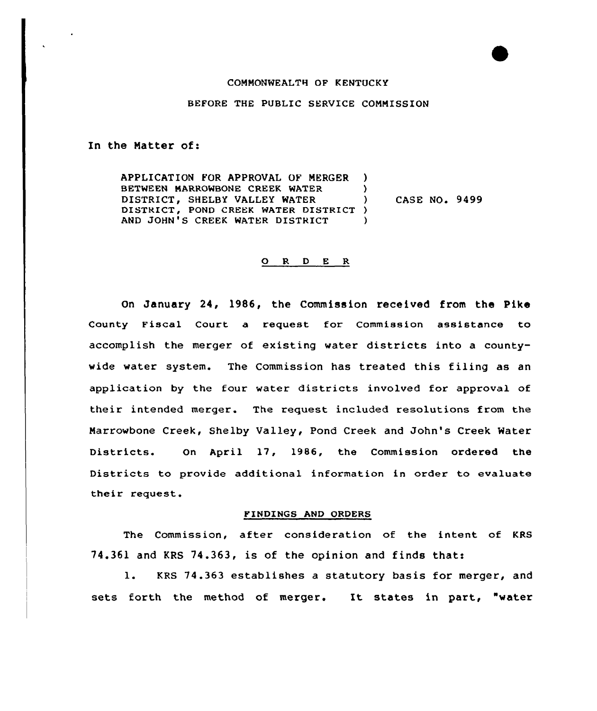## COMMONWEALTH OF KENTUCKY

## BEFORE THE PUBLIC SERVICE CONNISSION

In the Natter of:

APPLICATION FOR APPROVAL OF MERGER )<br>BETWEEN MARROWRONE CREEK WATER BETWEEN MARROWBONE CREEK WATER DISTRICT, SHELBY VALLEY WATER ) DISTRICT, POND CREEK WATER DISTRICT ) AND JOHN'S CREEK WATER DISTRICT ) CASE NO. 9499

## ORDER

On January 24, 1986, the Commission received from the Pike County Fiscal Court a request for Commission assistance to accomplish the merger of existing water districts into a countywide water system. The Commission has treated this filing as an application by the four water districts involved for approval of their intended merger. The request included resolutions from the Marrowbone Creek, Shelby Valley, Pond Creek and John's Creek Water Districts. On April 17, 1986, the Commission ordered the Districts to provide additional information in order to evaluate their request.

## FINDINGS AND ORDERS

The Commission, after consideration of the intent of KRS 74.361 and KRS 74.363, is of the opinion and finds thats

1. KRS 74.363 establishes <sup>a</sup> statutory basis for merger, and sets forth the method of merger. It states in part, "water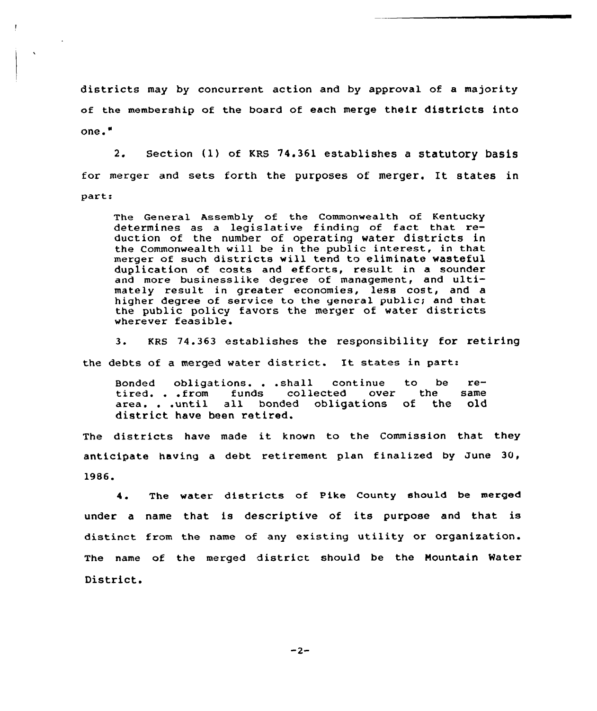districts may by concurrent action and by approval of a majority of the membership of the board of each merge their districts into one."

2. Section (1) of KRS 74.361 establishes <sup>a</sup> statutory basis for merger and sets forth the purposes of merger. It states in parts

The General Assembly of the Commonwealth of Kentucky determines as <sup>a</sup> legislative finding of fact that reduction of the number of operating water districts in the Commonwealth will be in the public interest, in that merger of such districts will tend to eliminate wasteful dup1ication of costs and efforts, result in a sounder and more businesslike degree of management, and ultimately result in greater economies, less cost, and a higher degree of service to the general public; and that the public policy favors the merger of water districts wherever feasible.

3. KRS 74.363 establishes the responsibility for retiring the debts of a merged water district. It states in part:

ed obligations...shall continue to be re-<br>Almond further and interface and the series Bonded obligations...shall continue to be re-<br>tired...from funds collected over the same tired. . . from funds collected over the same<br>area. . . until all bonded obligations of the old district have been retired.

The districts have made it known to the Commission that they anticipate having a debt retirement plan finalized by June  $30$ , 1986.

4. The water districts of Pike County should be merged under <sup>a</sup> name that is descriptive of its purpose and that is distinct from the name of any existing utility or organization. The name of the merged district should be the Mountain Mater District.

 $-2-$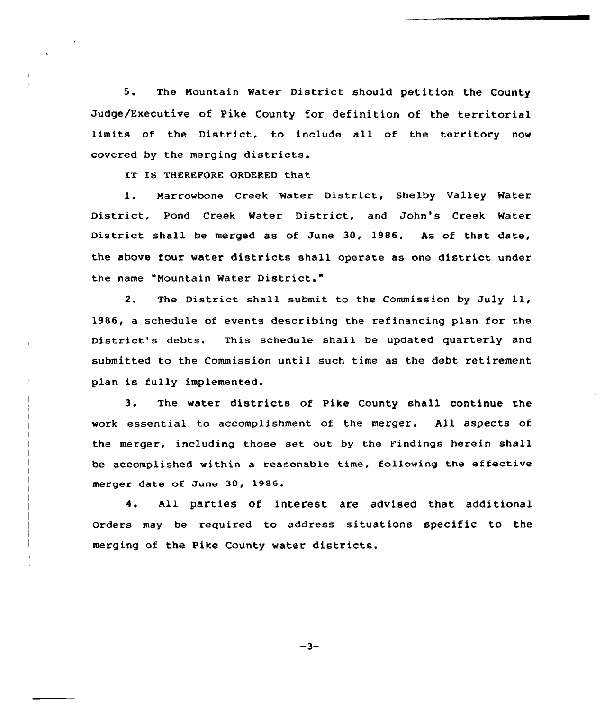5. The Mountain Water District should petition the County Judge/Executive of Pike County for definition of the territorial limits of the District, to include all of the territory now covered by the merging districts.

IT IS THEREFORE ORDERED that

1. Narrowbone Creek Water District, Shelby valley Water District, Pond Creek Water District, and John's Creek Water District shall be merged as of June 30, 1986. As of that date, the above four water districts shall operate as one district under the name "Nountain Water District."

2. The District shall submit to the Commission by July 11, 1986, a schedule of events describing the refinancing plan for the District's debts. This schedule shall be updated quarterly and submitted to the Commission until such time as the debt retirement plan is fully implemented.

3. The water districts of Pike County shall continue the work essential to accomplishment of the merger. All aspects of the merger, including those set out by the Findings herein shall be accomplished within a reasonable time, following the effective merger date of June 30, 1986.

4. All parties of interest are advised that additional Orders may be required to address situations specific to the merging of the Pike County water districts.

 $-3-$